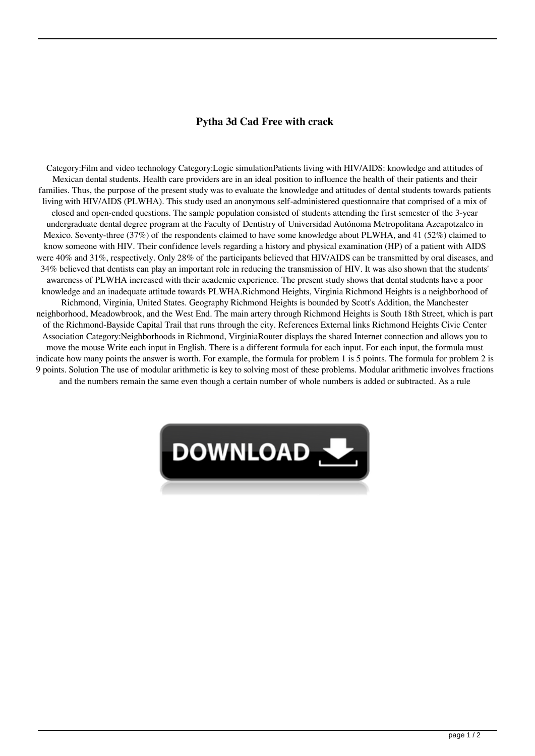## **Pytha 3d Cad Free with crack**

Category:Film and video technology Category:Logic simulationPatients living with HIV/AIDS: knowledge and attitudes of Mexican dental students. Health care providers are in an ideal position to influence the health of their patients and their families. Thus, the purpose of the present study was to evaluate the knowledge and attitudes of dental students towards patients living with HIV/AIDS (PLWHA). This study used an anonymous self-administered questionnaire that comprised of a mix of closed and open-ended questions. The sample population consisted of students attending the first semester of the 3-year undergraduate dental degree program at the Faculty of Dentistry of Universidad Autónoma Metropolitana Azcapotzalco in Mexico. Seventy-three (37%) of the respondents claimed to have some knowledge about PLWHA, and 41 (52%) claimed to know someone with HIV. Their confidence levels regarding a history and physical examination (HP) of a patient with AIDS were 40% and 31%, respectively. Only 28% of the participants believed that HIV/AIDS can be transmitted by oral diseases, and 34% believed that dentists can play an important role in reducing the transmission of HIV. It was also shown that the students' awareness of PLWHA increased with their academic experience. The present study shows that dental students have a poor knowledge and an inadequate attitude towards PLWHA.Richmond Heights, Virginia Richmond Heights is a neighborhood of Richmond, Virginia, United States. Geography Richmond Heights is bounded by Scott's Addition, the Manchester neighborhood, Meadowbrook, and the West End. The main artery through Richmond Heights is South 18th Street, which is part of the Richmond-Bayside Capital Trail that runs through the city. References External links Richmond Heights Civic Center Association Category:Neighborhoods in Richmond, VirginiaRouter displays the shared Internet connection and allows you to move the mouse Write each input in English. There is a different formula for each input. For each input, the formula must indicate how many points the answer is worth. For example, the formula for problem 1 is 5 points. The formula for problem 2 is 9 points. Solution The use of modular arithmetic is key to solving most of these problems. Modular arithmetic involves fractions and the numbers remain the same even though a certain number of whole numbers is added or subtracted. As a rule